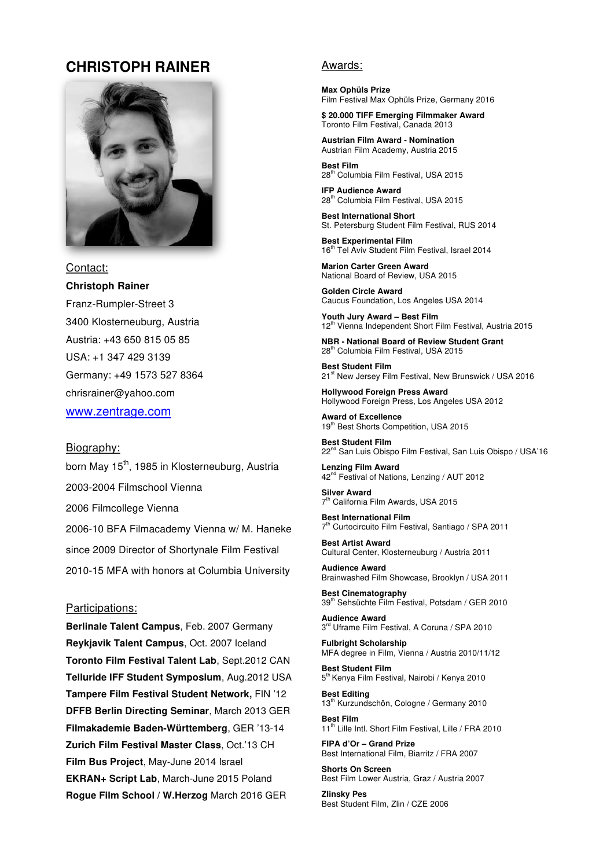# **CHRISTOPH RAINER**



Contact:

## **Christoph Rainer**

Franz-Rumpler-Street 3 3400 Klosterneuburg, Austria Austria: +43 650 815 05 85 USA: +1 347 429 3139 Germany: +49 1573 527 8364 chrisrainer@yahoo.com www.zentrage.com

#### Biography:

born May 15<sup>th</sup>, 1985 in Klosterneuburg, Austria 2003-2004 Filmschool Vienna 2006 Filmcollege Vienna 2006-10 BFA Filmacademy Vienna w/ M. Haneke since 2009 Director of Shortynale Film Festival 2010-15 MFA with honors at Columbia University

#### Participations:

Berlinale Talent Campus, Feb. 2007 Germany Reykjavik Talent Campus, Oct. 2007 Iceland Toronto Film Festival Talent Lab, Sept.2012 CAN Telluride IFF Student Symposium, Aug.2012 USA Tampere Film Festival Student Network, FIN '12 DFFB Berlin Directing Seminar, March 2013 GER Filmakademie Baden-Württemberg, GER '13-14 Zurich Film Festival Master Class, Oct.'13 CH Film Bus Project, May-June 2014 Israel EKRAN+ Script Lab, March-June 2015 Poland Rogue Film School / W.Herzog March 2016 GER

#### Awards:

**Max Ophüls Prize** Film Festival Max Ophüls Prize, Germany 2016

\$20.000 TIFF Emerging Filmmaker Award Toronto Film Festival, Canada 2013

**Austrian Film Award - Nomination** Austrian Film Academy, Austria 2015

**Best Film** 28<sup>th</sup> Columbia Film Festival, USA 2015

**IFP Audience Award** 28<sup>th</sup> Columbia Film Festival, USA 2015

**Best International Short** St. Petersburg Student Film Festival, RUS 2014

**Best Experimental Film** 16<sup>th</sup> Tel Aviv Student Film Festival, Israel 2014

**Marion Carter Green Award** National Board of Review, USA 2015

**Golden Circle Award** Caucus Foundation, Los Angeles USA 2014

Youth Jury Award - Best Film 12<sup>th</sup> Vienna Independent Short Film Festival, Austria 2015

NBR - National Board of Review Student Grant 28<sup>th</sup> Columbia Film Festival, USA 2015

**Best Student Film** 21st New Jersey Film Festival, New Brunswick / USA 2016

**Hollywood Foreign Press Award** Hollywood Foreign Press, Los Angeles USA 2012

**Award of Excellence** 19th Best Shorts Competition, USA 2015

**Best Student Film** 22<sup>nd</sup> San Luis Obispo Film Festival, San Luis Obispo / USA'16

**Lenzing Film Award** 42<sup>nd</sup> Festival of Nations, Lenzing / AUT 2012

**Silver Award** 7<sup>th</sup> California Film Awards, USA 2015

**Best International Film** 7<sup>th</sup> Curtocircuito Film Festival, Santiago / SPA 2011

**Best Artist Award** Cultural Center, Klosterneuburg / Austria 2011

**Audience Award** Brainwashed Film Showcase, Brooklyn / USA 2011

**Best Cinematography** 39<sup>th</sup> Sehsüchte Film Festival, Potsdam / GER 2010

**Audience Award** 3rd Uframe Film Festival, A Coruna / SPA 2010

**Fulbright Scholarship** MFA degree in Film, Vienna / Austria 2010/11/12

**Best Student Film** 5<sup>th</sup> Kenya Film Festival, Nairobi / Kenya 2010

**Best Editing** 13<sup>th</sup> Kurzundschön, Cologne / Germany 2010

**Rest Film** 11<sup>th</sup> Lille Intl. Short Film Festival, Lille / FRA 2010

FIPA d'Or - Grand Prize Best International Film, Biarritz / FRA 2007

**Shorts On Screen** Best Film Lower Austria, Graz / Austria 2007

**Zlinsky Pes** Best Student Film, Zlin / CZE 2006